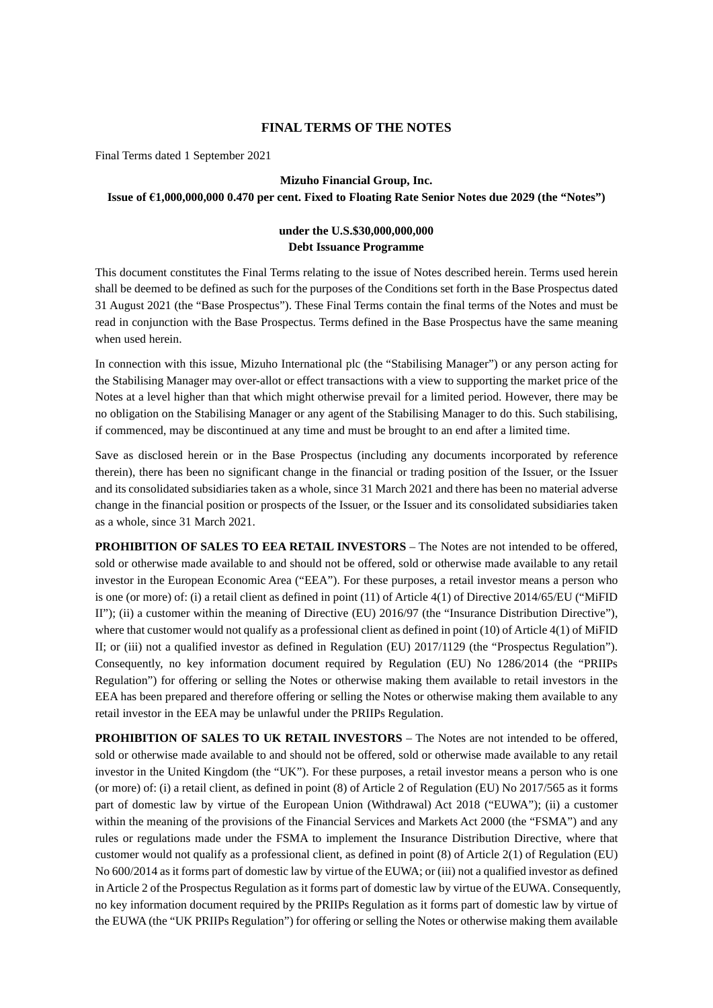## **FINAL TERMS OF THE NOTES**

Final Terms dated 1 September 2021

# **Mizuho Financial Group, Inc.**

## **Issue of €1,000,000,000 0.470 per cent. Fixed to Floating Rate Senior Notes due 2029 (the "Notes")**

# **under the U.S.\$30,000,000,000 Debt Issuance Programme**

This document constitutes the Final Terms relating to the issue of Notes described herein. Terms used herein shall be deemed to be defined as such for the purposes of the Conditions set forth in the Base Prospectus dated 31 August 2021 (the "Base Prospectus"). These Final Terms contain the final terms of the Notes and must be read in conjunction with the Base Prospectus. Terms defined in the Base Prospectus have the same meaning when used herein.

In connection with this issue, Mizuho International plc (the "Stabilising Manager") or any person acting for the Stabilising Manager may over-allot or effect transactions with a view to supporting the market price of the Notes at a level higher than that which might otherwise prevail for a limited period. However, there may be no obligation on the Stabilising Manager or any agent of the Stabilising Manager to do this. Such stabilising, if commenced, may be discontinued at any time and must be brought to an end after a limited time.

Save as disclosed herein or in the Base Prospectus (including any documents incorporated by reference therein), there has been no significant change in the financial or trading position of the Issuer, or the Issuer and its consolidated subsidiaries taken as a whole, since 31 March 2021 and there has been no material adverse change in the financial position or prospects of the Issuer, or the Issuer and its consolidated subsidiaries taken as a whole, since 31 March 2021.

**PROHIBITION OF SALES TO EEA RETAIL INVESTORS** – The Notes are not intended to be offered, sold or otherwise made available to and should not be offered, sold or otherwise made available to any retail investor in the European Economic Area ("EEA"). For these purposes, a retail investor means a person who is one (or more) of: (i) a retail client as defined in point (11) of Article 4(1) of Directive 2014/65/EU ("MiFID II"); (ii) a customer within the meaning of Directive (EU) 2016/97 (the "Insurance Distribution Directive"), where that customer would not qualify as a professional client as defined in point (10) of Article 4(1) of MiFID II; or (iii) not a qualified investor as defined in Regulation (EU) 2017/1129 (the "Prospectus Regulation"). Consequently, no key information document required by Regulation (EU) No 1286/2014 (the "PRIIPs Regulation") for offering or selling the Notes or otherwise making them available to retail investors in the EEA has been prepared and therefore offering or selling the Notes or otherwise making them available to any retail investor in the EEA may be unlawful under the PRIIPs Regulation.

**PROHIBITION OF SALES TO UK RETAIL INVESTORS** – The Notes are not intended to be offered, sold or otherwise made available to and should not be offered, sold or otherwise made available to any retail investor in the United Kingdom (the "UK"). For these purposes, a retail investor means a person who is one (or more) of: (i) a retail client, as defined in point (8) of Article 2 of Regulation (EU) No 2017/565 as it forms part of domestic law by virtue of the European Union (Withdrawal) Act 2018 ("EUWA"); (ii) a customer within the meaning of the provisions of the Financial Services and Markets Act 2000 (the "FSMA") and any rules or regulations made under the FSMA to implement the Insurance Distribution Directive, where that customer would not qualify as a professional client, as defined in point (8) of Article 2(1) of Regulation (EU) No 600/2014 as it forms part of domestic law by virtue of the EUWA; or (iii) not a qualified investor as defined in Article 2 of the Prospectus Regulation as it forms part of domestic law by virtue of the EUWA. Consequently, no key information document required by the PRIIPs Regulation as it forms part of domestic law by virtue of the EUWA (the "UK PRIIPs Regulation") for offering or selling the Notes or otherwise making them available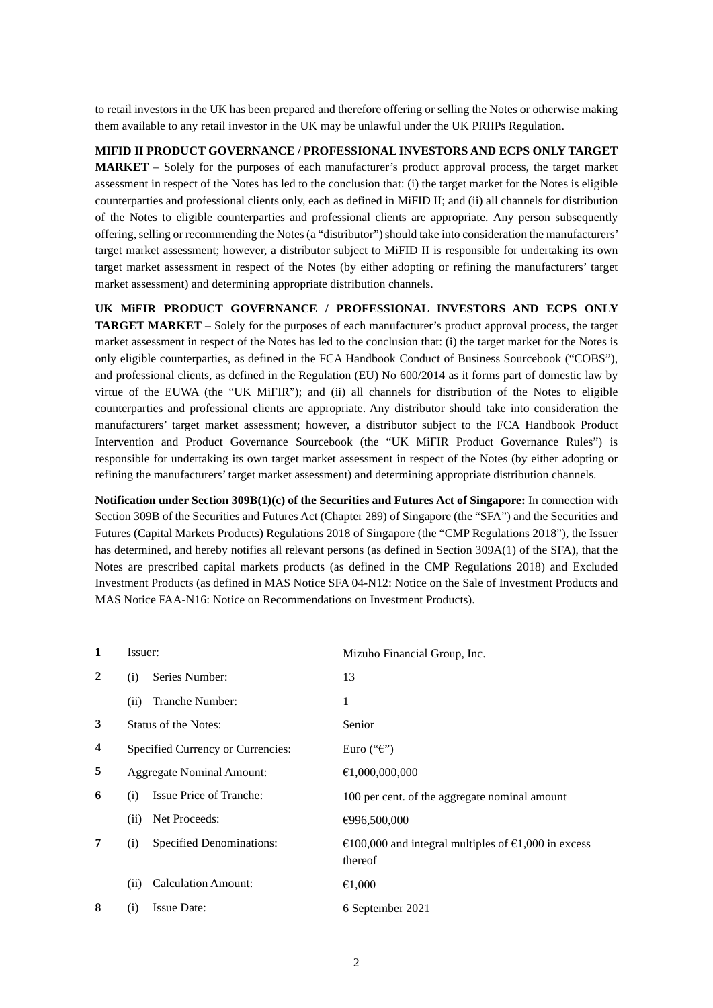to retail investors in the UK has been prepared and therefore offering or selling the Notes or otherwise making them available to any retail investor in the UK may be unlawful under the UK PRIIPs Regulation.

**MIFID II PRODUCT GOVERNANCE / PROFESSIONAL INVESTORS AND ECPS ONLY TARGET MARKET** – Solely for the purposes of each manufacturer's product approval process, the target market assessment in respect of the Notes has led to the conclusion that: (i) the target market for the Notes is eligible counterparties and professional clients only, each as defined in MiFID II; and (ii) all channels for distribution of the Notes to eligible counterparties and professional clients are appropriate. Any person subsequently offering, selling or recommending the Notes (a "distributor") should take into consideration the manufacturers' target market assessment; however, a distributor subject to MiFID II is responsible for undertaking its own target market assessment in respect of the Notes (by either adopting or refining the manufacturers' target market assessment) and determining appropriate distribution channels.

**UK MiFIR PRODUCT GOVERNANCE / PROFESSIONAL INVESTORS AND ECPS ONLY TARGET MARKET** – Solely for the purposes of each manufacturer's product approval process, the target market assessment in respect of the Notes has led to the conclusion that: (i) the target market for the Notes is only eligible counterparties, as defined in the FCA Handbook Conduct of Business Sourcebook ("COBS"), and professional clients, as defined in the Regulation (EU) No 600/2014 as it forms part of domestic law by virtue of the EUWA (the "UK MiFIR"); and (ii) all channels for distribution of the Notes to eligible counterparties and professional clients are appropriate. Any distributor should take into consideration the manufacturers' target market assessment; however, a distributor subject to the FCA Handbook Product Intervention and Product Governance Sourcebook (the "UK MiFIR Product Governance Rules") is responsible for undertaking its own target market assessment in respect of the Notes (by either adopting or refining the manufacturers' target market assessment) and determining appropriate distribution channels.

**Notification under Section 309B(1)(c) of the Securities and Futures Act of Singapore:** In connection with Section 309B of the Securities and Futures Act (Chapter 289) of Singapore (the "SFA") and the Securities and Futures (Capital Markets Products) Regulations 2018 of Singapore (the "CMP Regulations 2018"), the Issuer has determined, and hereby notifies all relevant persons (as defined in Section 309A(1) of the SFA), that the Notes are prescribed capital markets products (as defined in the CMP Regulations 2018) and Excluded Investment Products (as defined in MAS Notice SFA 04-N12: Notice on the Sale of Investment Products and MAS Notice FAA-N16: Notice on Recommendations on Investment Products).

| $\mathbf{1}$            | Issuer:                                | Mizuho Financial Group, Inc.                                                       |
|-------------------------|----------------------------------------|------------------------------------------------------------------------------------|
| $\mathbf{2}$            | Series Number:<br>(i)                  | 13                                                                                 |
|                         | Tranche Number:<br>(ii)                | 1                                                                                  |
| 3                       | Status of the Notes:                   | Senior                                                                             |
| $\overline{\mathbf{4}}$ | Specified Currency or Currencies:      | Euro (" $\epsilon$ ")                                                              |
| 5                       | <b>Aggregate Nominal Amount:</b>       | €1,000,000,000                                                                     |
| 6                       | Issue Price of Tranche:<br>(i)         | 100 per cent. of the aggregate nominal amount                                      |
|                         | Net Proceeds:<br>(ii)                  | €996,500,000                                                                       |
| 7                       | <b>Specified Denominations:</b><br>(i) | $\epsilon$ 100,000 and integral multiples of $\epsilon$ 1,000 in excess<br>thereof |
|                         | <b>Calculation Amount:</b><br>(ii)     | €1,000                                                                             |
| 8                       | <b>Issue Date:</b><br>$\rm(i)$         | 6 September 2021                                                                   |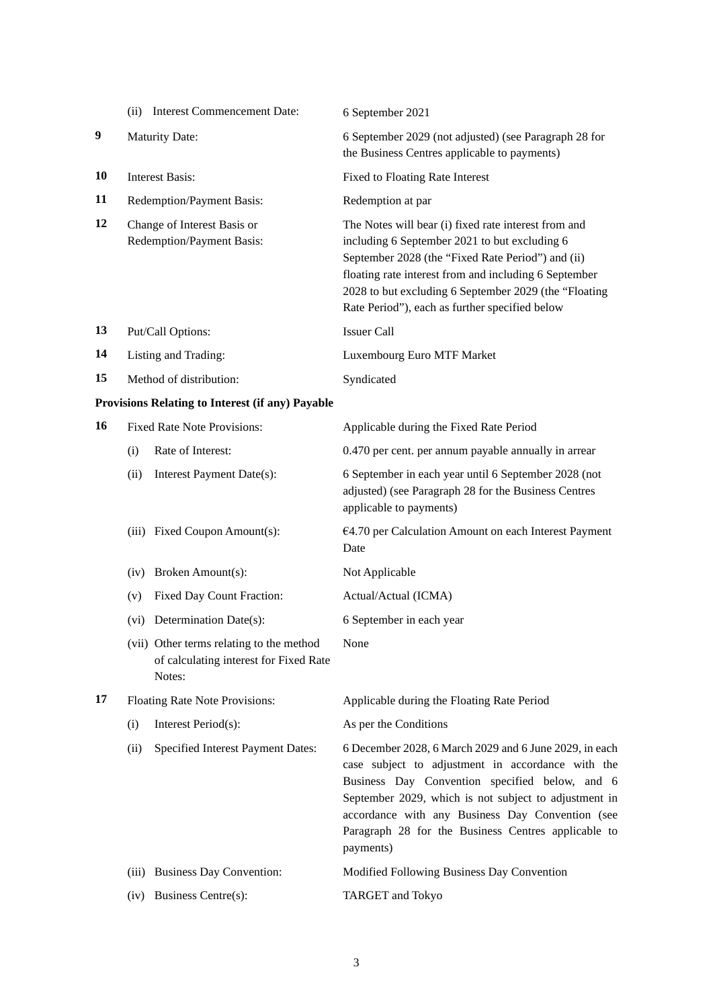|                                                  | (ii) | <b>Interest Commencement Date:</b>                                                           | 6 September 2021                                                                                                                                                                                                                                                                                                                               |
|--------------------------------------------------|------|----------------------------------------------------------------------------------------------|------------------------------------------------------------------------------------------------------------------------------------------------------------------------------------------------------------------------------------------------------------------------------------------------------------------------------------------------|
| 9                                                |      | <b>Maturity Date:</b>                                                                        | 6 September 2029 (not adjusted) (see Paragraph 28 for<br>the Business Centres applicable to payments)                                                                                                                                                                                                                                          |
| 10                                               |      | <b>Interest Basis:</b>                                                                       | <b>Fixed to Floating Rate Interest</b>                                                                                                                                                                                                                                                                                                         |
| 11                                               |      | Redemption/Payment Basis:                                                                    | Redemption at par                                                                                                                                                                                                                                                                                                                              |
| 12                                               |      | Change of Interest Basis or<br>Redemption/Payment Basis:                                     | The Notes will bear (i) fixed rate interest from and<br>including 6 September 2021 to but excluding 6<br>September 2028 (the "Fixed Rate Period") and (ii)<br>floating rate interest from and including 6 September<br>2028 to but excluding 6 September 2029 (the "Floating<br>Rate Period"), each as further specified below                 |
| 13                                               |      | Put/Call Options:                                                                            | <b>Issuer Call</b>                                                                                                                                                                                                                                                                                                                             |
| 14                                               |      | Listing and Trading:                                                                         | Luxembourg Euro MTF Market                                                                                                                                                                                                                                                                                                                     |
| 15                                               |      | Method of distribution:                                                                      | Syndicated                                                                                                                                                                                                                                                                                                                                     |
| Provisions Relating to Interest (if any) Payable |      |                                                                                              |                                                                                                                                                                                                                                                                                                                                                |
| 16                                               |      | <b>Fixed Rate Note Provisions:</b>                                                           | Applicable during the Fixed Rate Period                                                                                                                                                                                                                                                                                                        |
|                                                  | (i)  | Rate of Interest:                                                                            | 0.470 per cent. per annum payable annually in arrear                                                                                                                                                                                                                                                                                           |
|                                                  | (ii) | Interest Payment Date(s):                                                                    | 6 September in each year until 6 September 2028 (not<br>adjusted) (see Paragraph 28 for the Business Centres<br>applicable to payments)                                                                                                                                                                                                        |
|                                                  |      | (iii) Fixed Coupon Amount(s):                                                                | €4.70 per Calculation Amount on each Interest Payment<br>Date                                                                                                                                                                                                                                                                                  |
|                                                  | (iv) | Broken Amount(s):                                                                            | Not Applicable                                                                                                                                                                                                                                                                                                                                 |
|                                                  | (v)  | Fixed Day Count Fraction:                                                                    | Actual/Actual (ICMA)                                                                                                                                                                                                                                                                                                                           |
|                                                  |      | (vi) Determination Date(s):                                                                  | 6 September in each year                                                                                                                                                                                                                                                                                                                       |
|                                                  |      | (vii) Other terms relating to the method<br>of calculating interest for Fixed Rate<br>Notes: | None                                                                                                                                                                                                                                                                                                                                           |
| 17                                               |      | Floating Rate Note Provisions:                                                               | Applicable during the Floating Rate Period                                                                                                                                                                                                                                                                                                     |
|                                                  | (i)  | Interest Period(s):                                                                          | As per the Conditions                                                                                                                                                                                                                                                                                                                          |
|                                                  | (ii) | Specified Interest Payment Dates:                                                            | 6 December 2028, 6 March 2029 and 6 June 2029, in each<br>case subject to adjustment in accordance with the<br>Business Day Convention specified below, and 6<br>September 2029, which is not subject to adjustment in<br>accordance with any Business Day Convention (see<br>Paragraph 28 for the Business Centres applicable to<br>payments) |
|                                                  |      | (iii) Business Day Convention:                                                               | Modified Following Business Day Convention                                                                                                                                                                                                                                                                                                     |
|                                                  | (iv) | Business Centre(s):                                                                          | TARGET and Tokyo                                                                                                                                                                                                                                                                                                                               |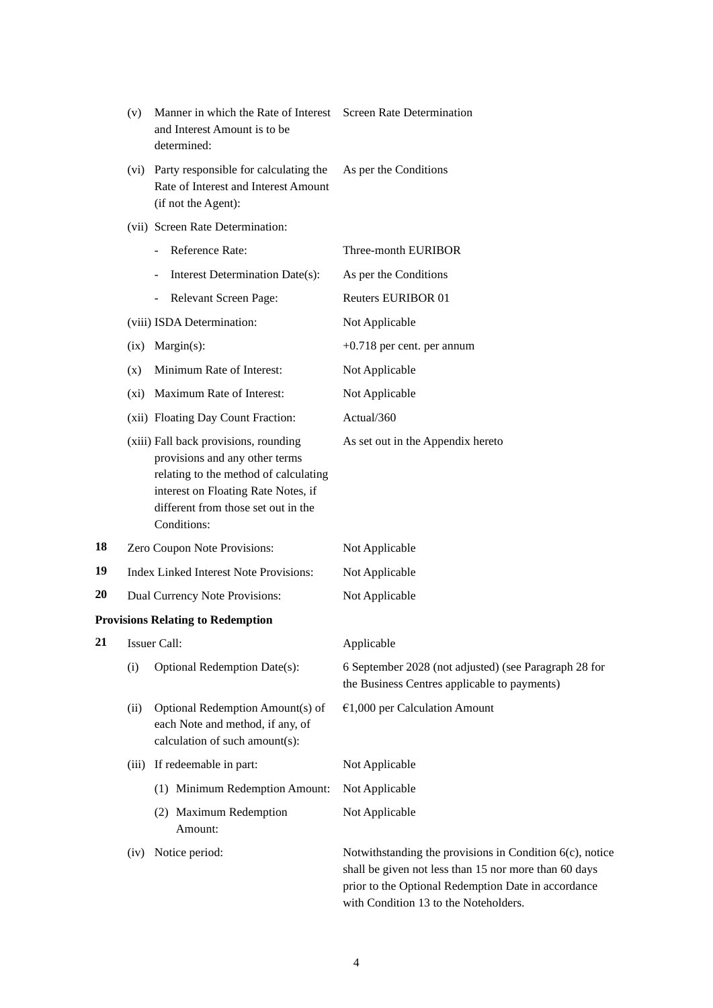|    | (v)     | Manner in which the Rate of Interest Screen Rate Determination<br>and Interest Amount is to be<br>determined:                                                                                                 |                                                                                                                                                                                                                      |
|----|---------|---------------------------------------------------------------------------------------------------------------------------------------------------------------------------------------------------------------|----------------------------------------------------------------------------------------------------------------------------------------------------------------------------------------------------------------------|
|    | (vi)    | Party responsible for calculating the<br>Rate of Interest and Interest Amount<br>(if not the Agent):                                                                                                          | As per the Conditions                                                                                                                                                                                                |
|    |         | (vii) Screen Rate Determination:                                                                                                                                                                              |                                                                                                                                                                                                                      |
|    |         | Reference Rate:                                                                                                                                                                                               | Three-month EURIBOR                                                                                                                                                                                                  |
|    |         | Interest Determination Date(s):                                                                                                                                                                               | As per the Conditions                                                                                                                                                                                                |
|    |         | Relevant Screen Page:                                                                                                                                                                                         | <b>Reuters EURIBOR 01</b>                                                                                                                                                                                            |
|    |         | (viii) ISDA Determination:                                                                                                                                                                                    | Not Applicable                                                                                                                                                                                                       |
|    | (ix)    | $Margin(s)$ :                                                                                                                                                                                                 | $+0.718$ per cent. per annum                                                                                                                                                                                         |
|    | (x)     | Minimum Rate of Interest:                                                                                                                                                                                     | Not Applicable                                                                                                                                                                                                       |
|    | $(x_i)$ | Maximum Rate of Interest:                                                                                                                                                                                     | Not Applicable                                                                                                                                                                                                       |
|    |         | (xii) Floating Day Count Fraction:                                                                                                                                                                            | Actual/360                                                                                                                                                                                                           |
|    |         | (xiii) Fall back provisions, rounding<br>provisions and any other terms<br>relating to the method of calculating<br>interest on Floating Rate Notes, if<br>different from those set out in the<br>Conditions: | As set out in the Appendix hereto                                                                                                                                                                                    |
| 18 |         | Zero Coupon Note Provisions:                                                                                                                                                                                  | Not Applicable                                                                                                                                                                                                       |
| 19 |         | <b>Index Linked Interest Note Provisions:</b>                                                                                                                                                                 | Not Applicable                                                                                                                                                                                                       |
| 20 |         | Dual Currency Note Provisions:                                                                                                                                                                                | Not Applicable                                                                                                                                                                                                       |
|    |         | <b>Provisions Relating to Redemption</b>                                                                                                                                                                      |                                                                                                                                                                                                                      |
|    |         | 21 Issuer Call:                                                                                                                                                                                               | Applicable                                                                                                                                                                                                           |
|    | (i)     | Optional Redemption Date(s):                                                                                                                                                                                  | 6 September 2028 (not adjusted) (see Paragraph 28 for<br>the Business Centres applicable to payments)                                                                                                                |
|    | (ii)    | Optional Redemption Amount(s) of<br>each Note and method, if any, of<br>calculation of such amount(s):                                                                                                        | $€1,000$ per Calculation Amount                                                                                                                                                                                      |
|    | (iii)   | If redeemable in part:                                                                                                                                                                                        | Not Applicable                                                                                                                                                                                                       |
|    |         | (1) Minimum Redemption Amount:                                                                                                                                                                                | Not Applicable                                                                                                                                                                                                       |
|    |         | (2) Maximum Redemption<br>Amount:                                                                                                                                                                             | Not Applicable                                                                                                                                                                                                       |
|    | (iv)    | Notice period:                                                                                                                                                                                                | Notwithstanding the provisions in Condition $6(c)$ , notice<br>shall be given not less than 15 nor more than 60 days<br>prior to the Optional Redemption Date in accordance<br>with Condition 13 to the Noteholders. |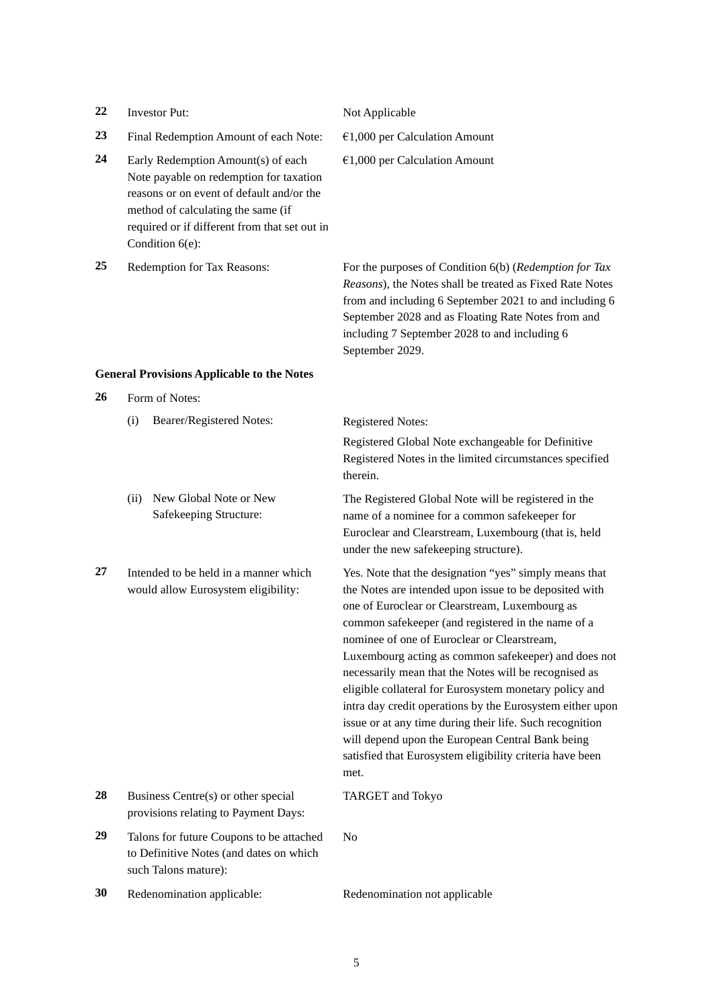| 22 | Investor Put:                                                                                                                                                                                                                                                                                                                 | Not Applicable                           |
|----|-------------------------------------------------------------------------------------------------------------------------------------------------------------------------------------------------------------------------------------------------------------------------------------------------------------------------------|------------------------------------------|
| າາ | $\Gamma$ and $\Gamma$ and $\Gamma$ and $\Gamma$ are also as $\Gamma$ and $\Gamma$ and $\Gamma$ and $\Gamma$ and $\Gamma$ and $\Gamma$ and $\Gamma$ and $\Gamma$ and $\Gamma$ and $\Gamma$ and $\Gamma$ and $\Gamma$ and $\Gamma$ and $\Gamma$ and $\Gamma$ and $\Gamma$ and $\Gamma$ and $\Gamma$ and $\Gamma$ and $\Gamma$ a | $0.1000 \pm 0.1 \pm 1.1 \pm 1.1 \pm 1.1$ |

**24** Early Redemption Amount(s) of each Note payable on redemption for taxation reasons or on event of default and/or the method of calculating the same (if required or if different from that set out in Condition 6(e):

**23** Final Redemption Amount of each Note: €1,000 per Calculation Amount

€1,000 per Calculation Amount

**25** Redemption for Tax Reasons: For the purposes of Condition 6(b) (*Redemption for Tax Reasons*), the Notes shall be treated as Fixed Rate Notes from and including 6 September 2021 to and including 6 September 2028 and as Floating Rate Notes from and including 7 September 2028 to and including 6 September 2029.

> Registered Global Note exchangeable for Definitive Registered Notes in the limited circumstances specified

The Registered Global Note will be registered in the name of a nominee for a common safekeeper for Euroclear and Clearstream, Luxembourg (that is, held

Yes. Note that the designation "yes" simply means that the Notes are intended upon issue to be deposited with one of Euroclear or Clearstream, Luxembourg as common safekeeper (and registered in the name of a

Luxembourg acting as common safekeeper) and does not necessarily mean that the Notes will be recognised as eligible collateral for Eurosystem monetary policy and intra day credit operations by the Eurosystem either upon issue or at any time during their life. Such recognition will depend upon the European Central Bank being satisfied that Eurosystem eligibility criteria have been

under the new safekeeping structure).

nominee of one of Euroclear or Clearstream,

# **General Provisions Applicable to the Notes**

- **26** Form of Notes:
	- (i) Bearer/Registered Notes: Registered Notes:
	- (ii) New Global Note or New Safekeeping Structure:
- **27** Intended to be held in a manner which would allow Eurosystem eligibility:

**28** Business Centre(s) or other special provisions relating to Payment Days:

**29** Talons for future Coupons to be attached to Definitive Notes (and dates on which such Talons mature):

No

TARGET and Tokyo

therein.

**30** Redenomination applicable: Redenomination not applicable

met.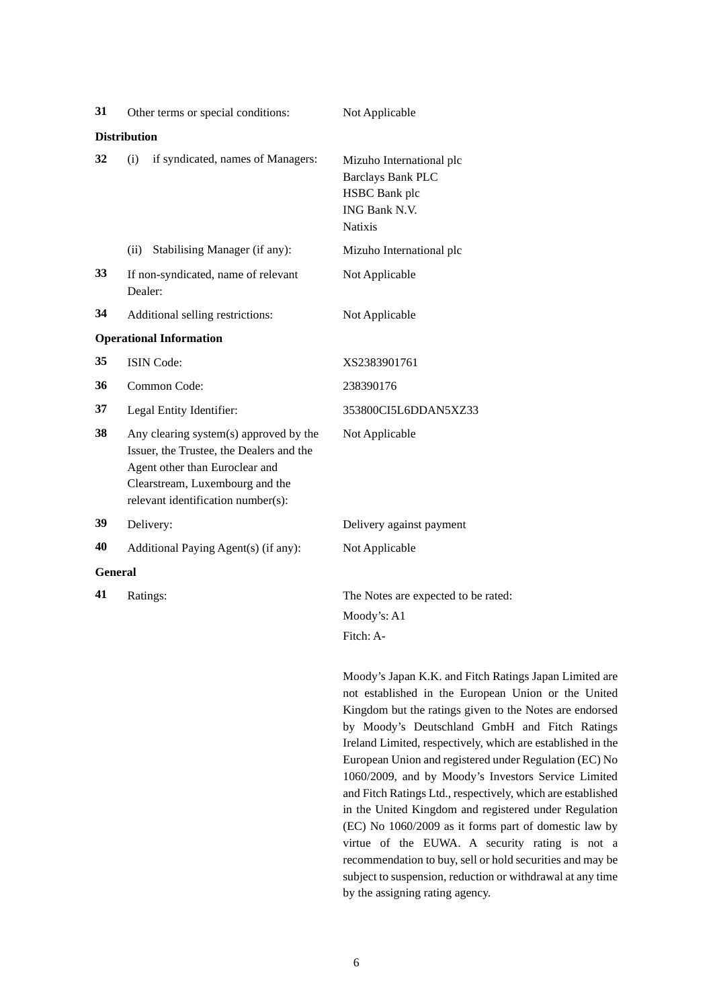| 31             | Other terms or special conditions:                                                                                                                                                            | Not Applicable                                                                                                  |
|----------------|-----------------------------------------------------------------------------------------------------------------------------------------------------------------------------------------------|-----------------------------------------------------------------------------------------------------------------|
|                | <b>Distribution</b>                                                                                                                                                                           |                                                                                                                 |
| 32             | if syndicated, names of Managers:<br>(i)                                                                                                                                                      | Mizuho International plc<br><b>Barclays Bank PLC</b><br><b>HSBC</b> Bank plc<br>ING Bank N.V.<br><b>Natixis</b> |
|                | Stabilising Manager (if any):<br>(ii)                                                                                                                                                         | Mizuho International plc                                                                                        |
| 33             | If non-syndicated, name of relevant<br>Dealer:                                                                                                                                                | Not Applicable                                                                                                  |
| 34             | Additional selling restrictions:                                                                                                                                                              | Not Applicable                                                                                                  |
|                | <b>Operational Information</b>                                                                                                                                                                |                                                                                                                 |
| 35             | <b>ISIN Code:</b>                                                                                                                                                                             | XS2383901761                                                                                                    |
| 36             | Common Code:                                                                                                                                                                                  | 238390176                                                                                                       |
| 37             | Legal Entity Identifier:                                                                                                                                                                      | 353800CI5L6DDAN5XZ33                                                                                            |
| 38             | Any clearing system(s) approved by the<br>Issuer, the Trustee, the Dealers and the<br>Agent other than Euroclear and<br>Clearstream, Luxembourg and the<br>relevant identification number(s): | Not Applicable                                                                                                  |
| 39             | Delivery:                                                                                                                                                                                     | Delivery against payment                                                                                        |
| 40             | Additional Paying Agent(s) (if any):                                                                                                                                                          | Not Applicable                                                                                                  |
| <b>General</b> |                                                                                                                                                                                               |                                                                                                                 |
| 41             | Ratings:                                                                                                                                                                                      | The Notes are expected to be rated:                                                                             |
|                |                                                                                                                                                                                               | Moody's: A1                                                                                                     |
|                |                                                                                                                                                                                               | Fitch: A-                                                                                                       |

Moody's Japan K.K. and Fitch Ratings Japan Limited are not established in the European Union or the United Kingdom but the ratings given to the Notes are endorsed by Moody's Deutschland GmbH and Fitch Ratings Ireland Limited, respectively, which are established in the European Union and registered under Regulation (EC) No 1060/2009, and by Moody's Investors Service Limited and Fitch Ratings Ltd., respectively, which are established in the United Kingdom and registered under Regulation (EC) No 1060/2009 as it forms part of domestic law by virtue of the EUWA. A security rating is not a recommendation to buy, sell or hold securities and may be subject to suspension, reduction or withdrawal at any time by the assigning rating agency.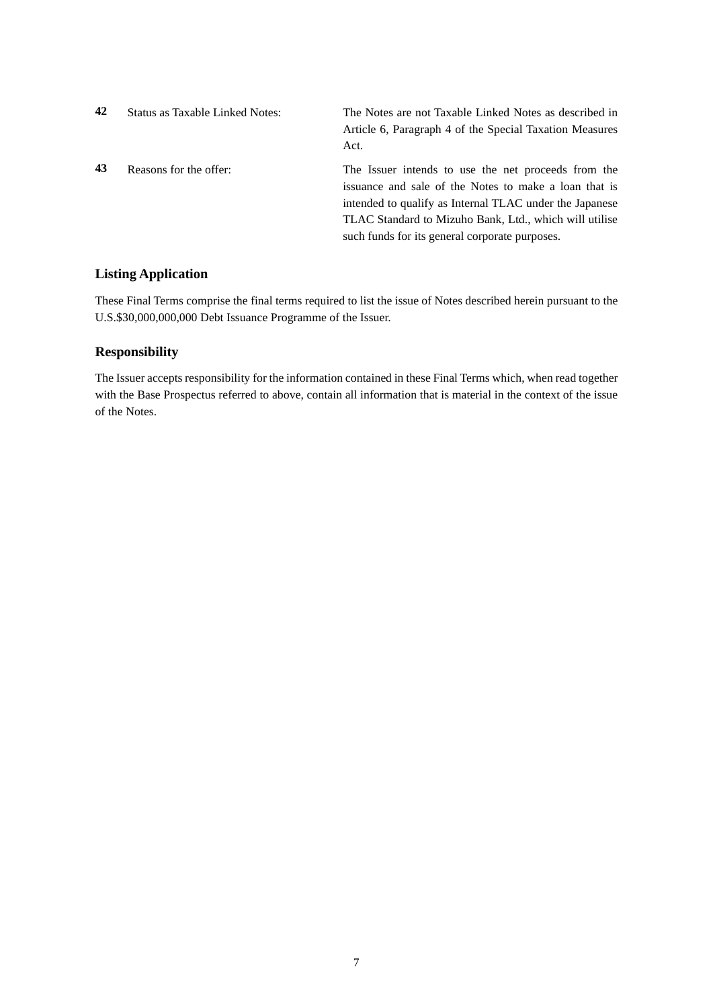| 42 | Status as Taxable Linked Notes: | The Notes are not Taxable Linked Notes as described in<br>Article 6, Paragraph 4 of the Special Taxation Measures<br>Act.                                                                                                                                                           |
|----|---------------------------------|-------------------------------------------------------------------------------------------------------------------------------------------------------------------------------------------------------------------------------------------------------------------------------------|
| 43 | Reasons for the offer:          | The Issuer intends to use the net proceeds from the<br>issuance and sale of the Notes to make a loan that is<br>intended to qualify as Internal TLAC under the Japanese<br>TLAC Standard to Mizuho Bank, Ltd., which will utilise<br>such funds for its general corporate purposes. |

# **Listing Application**

These Final Terms comprise the final terms required to list the issue of Notes described herein pursuant to the U.S.\$30,000,000,000 Debt Issuance Programme of the Issuer.

# **Responsibility**

The Issuer accepts responsibility for the information contained in these Final Terms which, when read together with the Base Prospectus referred to above, contain all information that is material in the context of the issue of the Notes.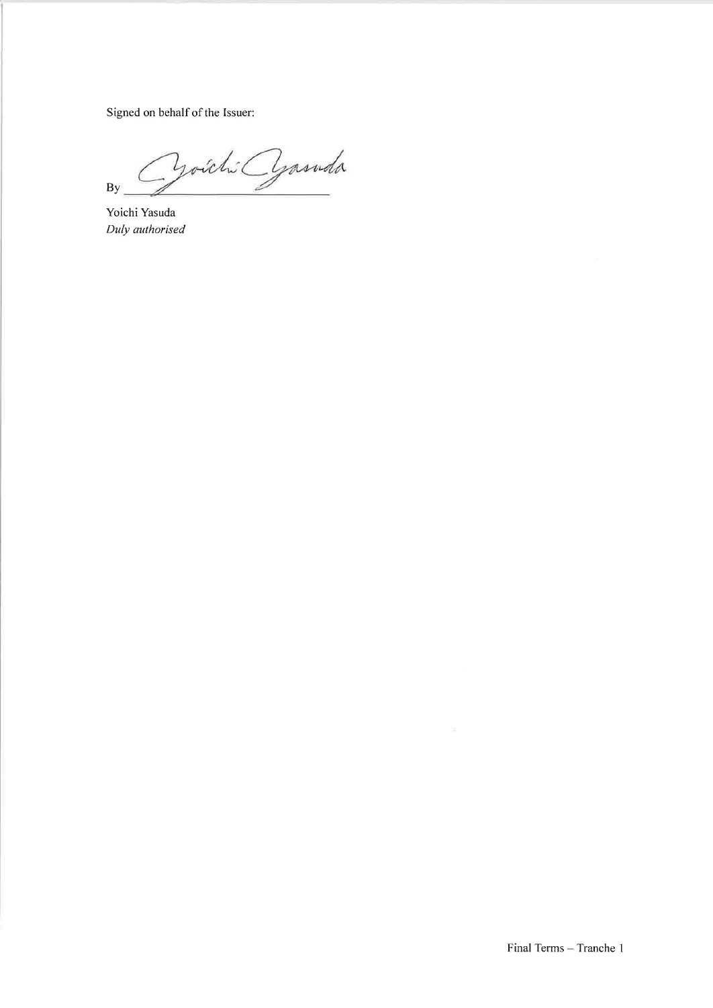Signed on behalf of the Issuer:

yoich Cyasuda  $By$ í

Yoichi Yasuda Duly authorised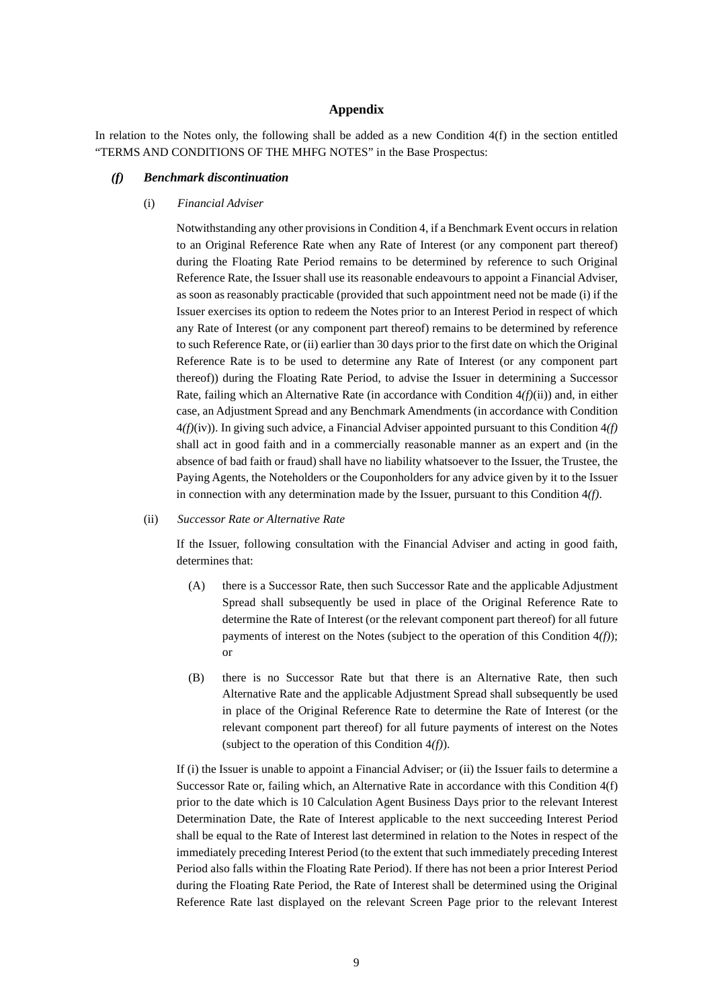# **Appendix**

In relation to the Notes only, the following shall be added as a new Condition 4(f) in the section entitled "TERMS AND CONDITIONS OF THE MHFG NOTES" in the Base Prospectus:

## *(f) Benchmark discontinuation*

(i) *Financial Adviser* 

Notwithstanding any other provisions in Condition 4, if a Benchmark Event occurs in relation to an Original Reference Rate when any Rate of Interest (or any component part thereof) during the Floating Rate Period remains to be determined by reference to such Original Reference Rate, the Issuer shall use its reasonable endeavours to appoint a Financial Adviser, as soon as reasonably practicable (provided that such appointment need not be made (i) if the Issuer exercises its option to redeem the Notes prior to an Interest Period in respect of which any Rate of Interest (or any component part thereof) remains to be determined by reference to such Reference Rate, or (ii) earlier than 30 days prior to the first date on which the Original Reference Rate is to be used to determine any Rate of Interest (or any component part thereof)) during the Floating Rate Period, to advise the Issuer in determining a Successor Rate, failing which an Alternative Rate (in accordance with Condition 4*(f)*(ii)) and, in either case, an Adjustment Spread and any Benchmark Amendments (in accordance with Condition 4*(f)*(iv)). In giving such advice, a Financial Adviser appointed pursuant to this Condition 4*(f)* shall act in good faith and in a commercially reasonable manner as an expert and (in the absence of bad faith or fraud) shall have no liability whatsoever to the Issuer, the Trustee, the Paying Agents, the Noteholders or the Couponholders for any advice given by it to the Issuer in connection with any determination made by the Issuer, pursuant to this Condition 4*(f)*.

#### (ii) *Successor Rate or Alternative Rate*

If the Issuer, following consultation with the Financial Adviser and acting in good faith, determines that:

- (A) there is a Successor Rate, then such Successor Rate and the applicable Adjustment Spread shall subsequently be used in place of the Original Reference Rate to determine the Rate of Interest (or the relevant component part thereof) for all future payments of interest on the Notes (subject to the operation of this Condition 4*(f)*); or
- (B) there is no Successor Rate but that there is an Alternative Rate, then such Alternative Rate and the applicable Adjustment Spread shall subsequently be used in place of the Original Reference Rate to determine the Rate of Interest (or the relevant component part thereof) for all future payments of interest on the Notes (subject to the operation of this Condition 4*(f)*).

If (i) the Issuer is unable to appoint a Financial Adviser; or (ii) the Issuer fails to determine a Successor Rate or, failing which, an Alternative Rate in accordance with this Condition 4(f) prior to the date which is 10 Calculation Agent Business Days prior to the relevant Interest Determination Date, the Rate of Interest applicable to the next succeeding Interest Period shall be equal to the Rate of Interest last determined in relation to the Notes in respect of the immediately preceding Interest Period (to the extent that such immediately preceding Interest Period also falls within the Floating Rate Period). If there has not been a prior Interest Period during the Floating Rate Period, the Rate of Interest shall be determined using the Original Reference Rate last displayed on the relevant Screen Page prior to the relevant Interest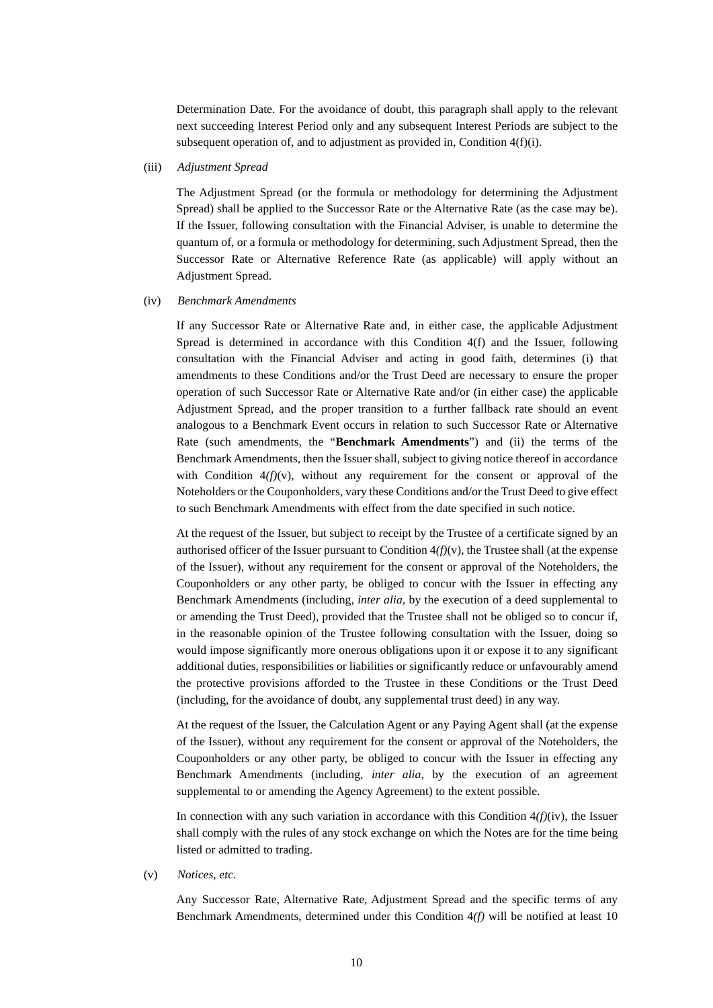Determination Date. For the avoidance of doubt, this paragraph shall apply to the relevant next succeeding Interest Period only and any subsequent Interest Periods are subject to the subsequent operation of, and to adjustment as provided in, Condition 4(f)(i).

#### (iii) *Adjustment Spread*

The Adjustment Spread (or the formula or methodology for determining the Adjustment Spread) shall be applied to the Successor Rate or the Alternative Rate (as the case may be). If the Issuer, following consultation with the Financial Adviser, is unable to determine the quantum of, or a formula or methodology for determining, such Adjustment Spread, then the Successor Rate or Alternative Reference Rate (as applicable) will apply without an Adjustment Spread.

## (iv) *Benchmark Amendments*

If any Successor Rate or Alternative Rate and, in either case, the applicable Adjustment Spread is determined in accordance with this Condition 4(f) and the Issuer, following consultation with the Financial Adviser and acting in good faith, determines (i) that amendments to these Conditions and/or the Trust Deed are necessary to ensure the proper operation of such Successor Rate or Alternative Rate and/or (in either case) the applicable Adjustment Spread, and the proper transition to a further fallback rate should an event analogous to a Benchmark Event occurs in relation to such Successor Rate or Alternative Rate (such amendments, the "**Benchmark Amendments**") and (ii) the terms of the Benchmark Amendments, then the Issuer shall, subject to giving notice thereof in accordance with Condition  $4(f)(v)$ , without any requirement for the consent or approval of the Noteholders or the Couponholders, vary these Conditions and/or the Trust Deed to give effect to such Benchmark Amendments with effect from the date specified in such notice.

At the request of the Issuer, but subject to receipt by the Trustee of a certificate signed by an authorised officer of the Issuer pursuant to Condition  $4(f)(v)$ , the Trustee shall (at the expense of the Issuer), without any requirement for the consent or approval of the Noteholders, the Couponholders or any other party, be obliged to concur with the Issuer in effecting any Benchmark Amendments (including*, inter alia*, by the execution of a deed supplemental to or amending the Trust Deed), provided that the Trustee shall not be obliged so to concur if, in the reasonable opinion of the Trustee following consultation with the Issuer, doing so would impose significantly more onerous obligations upon it or expose it to any significant additional duties, responsibilities or liabilities or significantly reduce or unfavourably amend the protective provisions afforded to the Trustee in these Conditions or the Trust Deed (including, for the avoidance of doubt, any supplemental trust deed) in any way.

At the request of the Issuer, the Calculation Agent or any Paying Agent shall (at the expense of the Issuer), without any requirement for the consent or approval of the Noteholders, the Couponholders or any other party, be obliged to concur with the Issuer in effecting any Benchmark Amendments (including, *inter alia*, by the execution of an agreement supplemental to or amending the Agency Agreement) to the extent possible.

In connection with any such variation in accordance with this Condition  $4(f)(iv)$ , the Issuer shall comply with the rules of any stock exchange on which the Notes are for the time being listed or admitted to trading.

## (v) *Notices, etc.*

Any Successor Rate, Alternative Rate, Adjustment Spread and the specific terms of any Benchmark Amendments, determined under this Condition 4*(f)* will be notified at least 10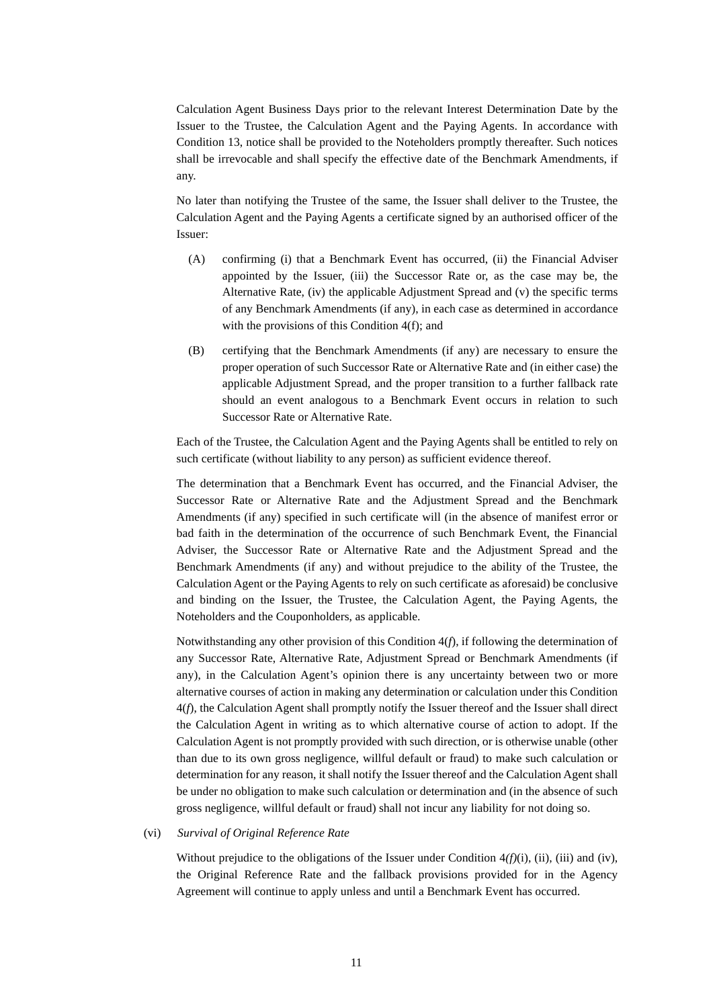Calculation Agent Business Days prior to the relevant Interest Determination Date by the Issuer to the Trustee, the Calculation Agent and the Paying Agents. In accordance with Condition 13, notice shall be provided to the Noteholders promptly thereafter. Such notices shall be irrevocable and shall specify the effective date of the Benchmark Amendments, if any.

No later than notifying the Trustee of the same, the Issuer shall deliver to the Trustee, the Calculation Agent and the Paying Agents a certificate signed by an authorised officer of the Issuer:

- (A) confirming (i) that a Benchmark Event has occurred, (ii) the Financial Adviser appointed by the Issuer, (iii) the Successor Rate or, as the case may be, the Alternative Rate, (iv) the applicable Adjustment Spread and  $(v)$  the specific terms of any Benchmark Amendments (if any), in each case as determined in accordance with the provisions of this Condition 4(f); and
- (B) certifying that the Benchmark Amendments (if any) are necessary to ensure the proper operation of such Successor Rate or Alternative Rate and (in either case) the applicable Adjustment Spread, and the proper transition to a further fallback rate should an event analogous to a Benchmark Event occurs in relation to such Successor Rate or Alternative Rate.

Each of the Trustee, the Calculation Agent and the Paying Agents shall be entitled to rely on such certificate (without liability to any person) as sufficient evidence thereof.

The determination that a Benchmark Event has occurred, and the Financial Adviser, the Successor Rate or Alternative Rate and the Adjustment Spread and the Benchmark Amendments (if any) specified in such certificate will (in the absence of manifest error or bad faith in the determination of the occurrence of such Benchmark Event, the Financial Adviser, the Successor Rate or Alternative Rate and the Adjustment Spread and the Benchmark Amendments (if any) and without prejudice to the ability of the Trustee, the Calculation Agent or the Paying Agents to rely on such certificate as aforesaid) be conclusive and binding on the Issuer, the Trustee, the Calculation Agent, the Paying Agents, the Noteholders and the Couponholders, as applicable.

Notwithstanding any other provision of this Condition 4(*f*), if following the determination of any Successor Rate, Alternative Rate, Adjustment Spread or Benchmark Amendments (if any), in the Calculation Agent's opinion there is any uncertainty between two or more alternative courses of action in making any determination or calculation under this Condition 4(*f*), the Calculation Agent shall promptly notify the Issuer thereof and the Issuer shall direct the Calculation Agent in writing as to which alternative course of action to adopt. If the Calculation Agent is not promptly provided with such direction, or is otherwise unable (other than due to its own gross negligence, willful default or fraud) to make such calculation or determination for any reason, it shall notify the Issuer thereof and the Calculation Agent shall be under no obligation to make such calculation or determination and (in the absence of such gross negligence, willful default or fraud) shall not incur any liability for not doing so.

#### (vi) *Survival of Original Reference Rate*

Without prejudice to the obligations of the Issuer under Condition 4*(f)*(i), (ii), (iii) and (iv), the Original Reference Rate and the fallback provisions provided for in the Agency Agreement will continue to apply unless and until a Benchmark Event has occurred.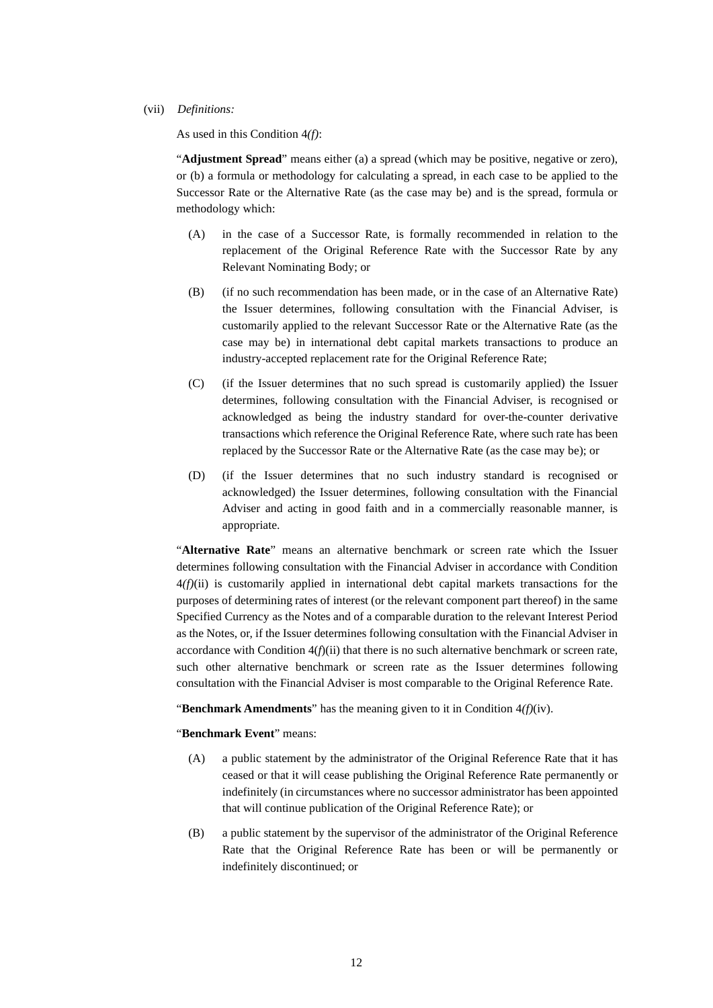#### (vii) *Definitions:*

As used in this Condition 4*(f)*:

"**Adjustment Spread**" means either (a) a spread (which may be positive, negative or zero), or (b) a formula or methodology for calculating a spread, in each case to be applied to the Successor Rate or the Alternative Rate (as the case may be) and is the spread, formula or methodology which:

- (A) in the case of a Successor Rate, is formally recommended in relation to the replacement of the Original Reference Rate with the Successor Rate by any Relevant Nominating Body; or
- (B) (if no such recommendation has been made, or in the case of an Alternative Rate) the Issuer determines, following consultation with the Financial Adviser, is customarily applied to the relevant Successor Rate or the Alternative Rate (as the case may be) in international debt capital markets transactions to produce an industry-accepted replacement rate for the Original Reference Rate;
- (C) (if the Issuer determines that no such spread is customarily applied) the Issuer determines, following consultation with the Financial Adviser, is recognised or acknowledged as being the industry standard for over-the-counter derivative transactions which reference the Original Reference Rate, where such rate has been replaced by the Successor Rate or the Alternative Rate (as the case may be); or
- (D) (if the Issuer determines that no such industry standard is recognised or acknowledged) the Issuer determines, following consultation with the Financial Adviser and acting in good faith and in a commercially reasonable manner, is appropriate.

"**Alternative Rate**" means an alternative benchmark or screen rate which the Issuer determines following consultation with the Financial Adviser in accordance with Condition 4*(f)*(ii) is customarily applied in international debt capital markets transactions for the purposes of determining rates of interest (or the relevant component part thereof) in the same Specified Currency as the Notes and of a comparable duration to the relevant Interest Period as the Notes, or, if the Issuer determines following consultation with the Financial Adviser in accordance with Condition  $4(f)(ii)$  that there is no such alternative benchmark or screen rate, such other alternative benchmark or screen rate as the Issuer determines following consultation with the Financial Adviser is most comparable to the Original Reference Rate.

"**Benchmark Amendments**" has the meaning given to it in Condition 4*(f)*(iv).

#### "**Benchmark Event**" means:

- (A) a public statement by the administrator of the Original Reference Rate that it has ceased or that it will cease publishing the Original Reference Rate permanently or indefinitely (in circumstances where no successor administrator has been appointed that will continue publication of the Original Reference Rate); or
- (B) a public statement by the supervisor of the administrator of the Original Reference Rate that the Original Reference Rate has been or will be permanently or indefinitely discontinued; or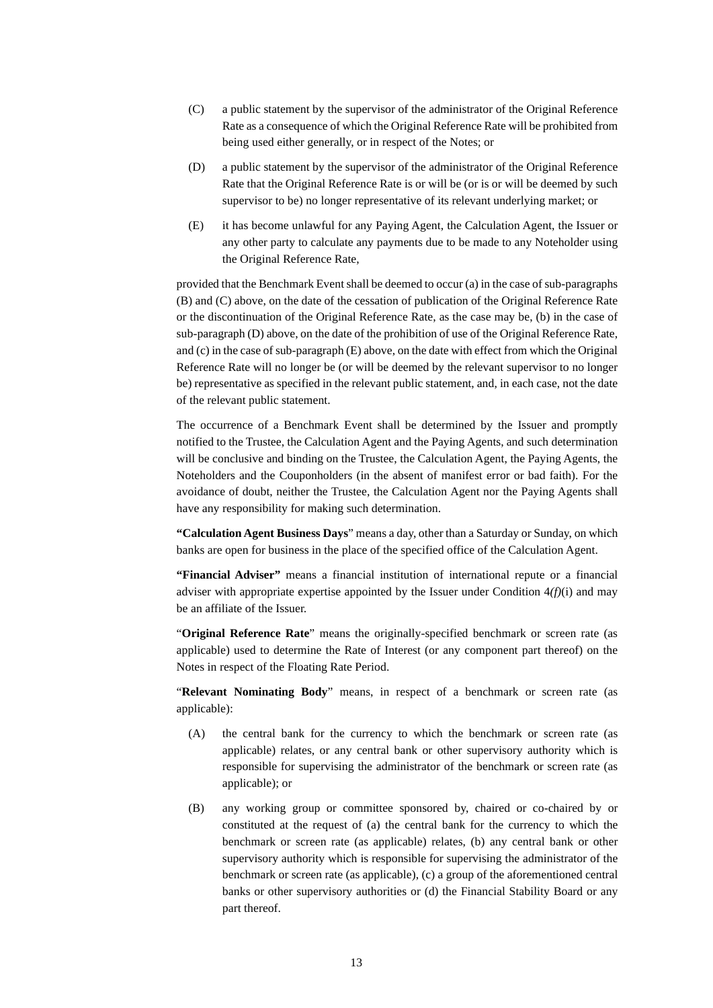- (C) a public statement by the supervisor of the administrator of the Original Reference Rate as a consequence of which the Original Reference Rate will be prohibited from being used either generally, or in respect of the Notes; or
- (D) a public statement by the supervisor of the administrator of the Original Reference Rate that the Original Reference Rate is or will be (or is or will be deemed by such supervisor to be) no longer representative of its relevant underlying market; or
- (E) it has become unlawful for any Paying Agent, the Calculation Agent, the Issuer or any other party to calculate any payments due to be made to any Noteholder using the Original Reference Rate,

provided that the Benchmark Event shall be deemed to occur (a) in the case of sub-paragraphs (B) and (C) above, on the date of the cessation of publication of the Original Reference Rate or the discontinuation of the Original Reference Rate, as the case may be, (b) in the case of sub-paragraph (D) above, on the date of the prohibition of use of the Original Reference Rate, and (c) in the case of sub-paragraph (E) above, on the date with effect from which the Original Reference Rate will no longer be (or will be deemed by the relevant supervisor to no longer be) representative as specified in the relevant public statement, and, in each case, not the date of the relevant public statement.

The occurrence of a Benchmark Event shall be determined by the Issuer and promptly notified to the Trustee, the Calculation Agent and the Paying Agents, and such determination will be conclusive and binding on the Trustee, the Calculation Agent, the Paying Agents, the Noteholders and the Couponholders (in the absent of manifest error or bad faith). For the avoidance of doubt, neither the Trustee, the Calculation Agent nor the Paying Agents shall have any responsibility for making such determination.

**"Calculation Agent Business Days**" means a day, other than a Saturday or Sunday, on which banks are open for business in the place of the specified office of the Calculation Agent.

**"Financial Adviser"** means a financial institution of international repute or a financial adviser with appropriate expertise appointed by the Issuer under Condition 4*(f)*(i) and may be an affiliate of the Issuer.

"**Original Reference Rate**" means the originally-specified benchmark or screen rate (as applicable) used to determine the Rate of Interest (or any component part thereof) on the Notes in respect of the Floating Rate Period.

"**Relevant Nominating Body**" means, in respect of a benchmark or screen rate (as applicable):

- (A) the central bank for the currency to which the benchmark or screen rate (as applicable) relates, or any central bank or other supervisory authority which is responsible for supervising the administrator of the benchmark or screen rate (as applicable); or
- (B) any working group or committee sponsored by, chaired or co-chaired by or constituted at the request of (a) the central bank for the currency to which the benchmark or screen rate (as applicable) relates, (b) any central bank or other supervisory authority which is responsible for supervising the administrator of the benchmark or screen rate (as applicable), (c) a group of the aforementioned central banks or other supervisory authorities or (d) the Financial Stability Board or any part thereof.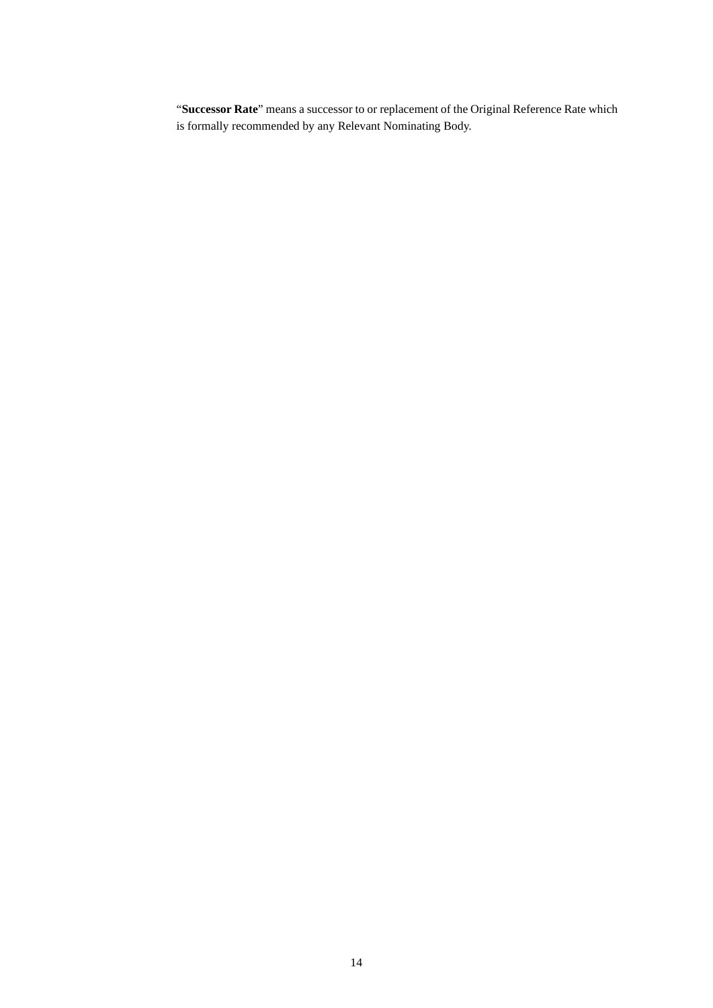"**Successor Rate**" means a successor to or replacement of the Original Reference Rate which is formally recommended by any Relevant Nominating Body.